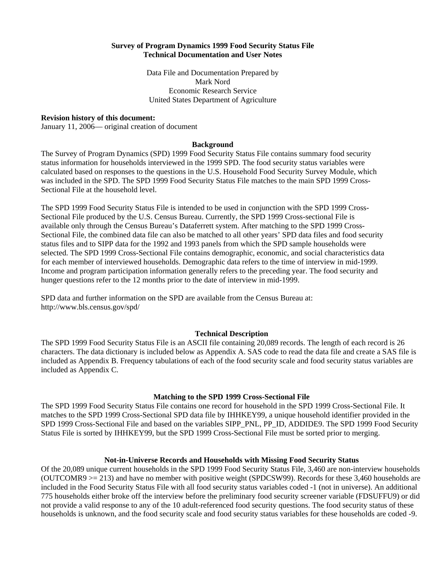# **Survey of Program Dynamics 1999 Food Security Status File Technical Documentation and User Notes**

Data File and Documentation Prepared by Mark Nord Economic Research Service United States Department of Agriculture

### **Revision history of this document:**

January 11, 2006— original creation of document

#### **Background**

The Survey of Program Dynamics (SPD) 1999 Food Security Status File contains summary food security status information for households interviewed in the 1999 SPD. The food security status variables were calculated based on responses to the questions in the U.S. Household Food Security Survey Module, which was included in the SPD. The SPD 1999 Food Security Status File matches to the main SPD 1999 Cross-Sectional File at the household level.

The SPD 1999 Food Security Status File is intended to be used in conjunction with the SPD 1999 Cross-Sectional File produced by the U.S. Census Bureau. Currently, the SPD 1999 Cross-sectional File is available only through the Census Bureau's Dataferrett system. After matching to the SPD 1999 Cross-Sectional File, the combined data file can also be matched to all other years' SPD data files and food security status files and to SIPP data for the 1992 and 1993 panels from which the SPD sample households were selected. The SPD 1999 Cross-Sectional File contains demographic, economic, and social characteristics data for each member of interviewed households. Demographic data refers to the time of interview in mid-1999. Income and program participation information generally refers to the preceding year. The food security and hunger questions refer to the 12 months prior to the date of interview in mid-1999.

SPD data and further information on the SPD are available from the Census Bureau at: http://www.bls.census.gov/spd/

#### **Technical Description**

The SPD 1999 Food Security Status File is an ASCII file containing 20,089 records. The length of each record is 26 characters. The data dictionary is included below as Appendix A. SAS code to read the data file and create a SAS file is included as Appendix B. Frequency tabulations of each of the food security scale and food security status variables are included as Appendix C.

#### **Matching to the SPD 1999 Cross-Sectional File**

The SPD 1999 Food Security Status File contains one record for household in the SPD 1999 Cross-Sectional File. It matches to the SPD 1999 Cross-Sectional SPD data file by IHHKEY99, a unique household identifier provided in the SPD 1999 Cross-Sectional File and based on the variables SIPP\_PNL, PP\_ID, ADDIDE9. The SPD 1999 Food Security Status File is sorted by IHHKEY99, but the SPD 1999 Cross-Sectional File must be sorted prior to merging.

# **Not-in-Universe Records and Households with Missing Food Security Status**

Of the 20,089 unique current households in the SPD 1999 Food Security Status File, 3,460 are non-interview households (OUTCOMR9 >= 213) and have no member with positive weight (SPDCSW99). Records for these 3,460 households are included in the Food Security Status File with all food security status variables coded -1 (not in universe). An additional 775 households either broke off the interview before the preliminary food security screener variable (FDSUFFU9) or did not provide a valid response to any of the 10 adult-referenced food security questions. The food security status of these households is unknown, and the food security scale and food security status variables for these households are coded -9.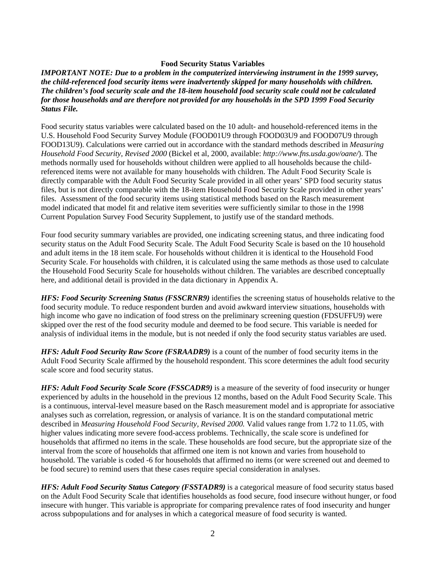# **Food Security Status Variables**

*IMPORTANT NOTE: Due to a problem in the computerized interviewing instrument in the 1999 survey, the child-referenced food security items were inadvertently skipped for many households with children. The children's food security scale and the 18-item household food security scale could not be calculated for those households and are therefore not provided for any households in the SPD 1999 Food Security Status File.* 

Food security status variables were calculated based on the 10 adult- and household-referenced items in the U.S. Household Food Security Survey Module (FOOD01U9 through FOOD03U9 and FOOD07U9 through FOOD13U9). Calculations were carried out in accordance with the standard methods described in *Measuring Household Food Security, Revised 2000* (Bickel et al, 2000, available: *http://www.fns.usda.gov/oane/*). The methods normally used for households without children were applied to all households because the childreferenced items were not available for many households with children. The Adult Food Security Scale is directly comparable with the Adult Food Security Scale provided in all other years' SPD food security status files, but is not directly comparable with the 18-item Household Food Security Scale provided in other years' files. Assessment of the food security items using statistical methods based on the Rasch measurement model indicated that model fit and relative item severities were sufficiently similar to those in the 1998 Current Population Survey Food Security Supplement, to justify use of the standard methods.

Four food security summary variables are provided, one indicating screening status, and three indicating food security status on the Adult Food Security Scale. The Adult Food Security Scale is based on the 10 household and adult items in the 18 item scale. For households without children it is identical to the Household Food Security Scale. For households with children, it is calculated using the same methods as those used to calculate the Household Food Security Scale for households without children. The variables are described conceptually here, and additional detail is provided in the data dictionary in Appendix A.

*HFS: Food Security Screening Status (FSSCRNR9)* identifies the screening status of households relative to the food security module. To reduce respondent burden and avoid awkward interview situations, households with high income who gave no indication of food stress on the preliminary screening question (FDSUFFU9) were skipped over the rest of the food security module and deemed to be food secure. This variable is needed for analysis of individual items in the module, but is not needed if only the food security status variables are used.

*HFS: Adult Food Security Raw Score (FSRAADR9)* is a count of the number of food security items in the Adult Food Security Scale affirmed by the household respondent. This score determines the adult food security scale score and food security status.

*HFS: Adult Food Security Scale Score (FSSCADR9)* is a measure of the severity of food insecurity or hunger experienced by adults in the household in the previous 12 months, based on the Adult Food Security Scale. This is a continuous, interval-level measure based on the Rasch measurement model and is appropriate for associative analyses such as correlation, regression, or analysis of variance. It is on the standard computational metric described in *Measuring Household Food Security, Revised 2000.* Valid values range from 1.72 to 11.05, with higher values indicating more severe food-access problems. Technically, the scale score is undefined for households that affirmed no items in the scale. These households are food secure, but the appropriate size of the interval from the score of households that affirmed one item is not known and varies from household to household. The variable is coded -6 for households that affirmed no items (or were screened out and deemed to be food secure) to remind users that these cases require special consideration in analyses.

*HFS: Adult Food Security Status Category (FSSTADR9)* is a categorical measure of food security status based on the Adult Food Security Scale that identifies households as food secure, food insecure without hunger, or food insecure with hunger. This variable is appropriate for comparing prevalence rates of food insecurity and hunger across subpopulations and for analyses in which a categorical measure of food security is wanted.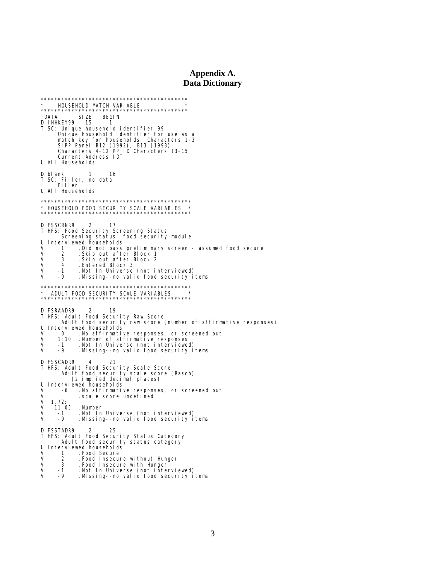### Appendix A. **Data Dictionary**

\* HOUSEHOLD MATCH VARIABLE ]<br>\*\*\*\*\*\* Uni que househol d i denti fi er for use as a Survey and the state of the state of the SIP Panel B12 (1992), B13 (1993)<br>SIPP Panel B12 (1992), B13 (1993)<br>Characters 4-12 PP\_ID Characters 13-15<br>Current Address ID<br>U AII Households D blank 1 16<br>T SC: Filler, no data<br>Filler -16 U All Households \* HOUSEHOLD FOOD SECURITY SCALE VARIABLES **D FSSCRNR9** 2 -17 T HFS: Food Security Screening Status Screening status, food security module Interviewed househol ds Experiment us and the Section of Secure<br>
Skip out after Block 1<br>
Skip out after Block 1<br>
Skip out after Block 2<br>
Entered Block 3  $\vee$ ý V 3  $\vee$  $\overline{4}$ V.  $-1$  $\mathsf{V}$  $-9$  $*$  ADULT FOOD SECURITY SCALE VARIABLES D FSRAADR9 2 19 privation.<br>THFS: Adult Food Security Raw Score<br>... Adult food security raw score (number of affirmative responses) Ultimate Total and Software Chamber of anti-<br>
1.10 Number of affirmative responses, or screened out<br>
1.10 Number of affirmative responses<br>
1.10 Number of affirmative responses<br>
1.10 Number of affirmative responses<br>
1.10 Nu D FSSCADR9 4 21<br>T HFS: Adult Food Security Scale Score D FSSCADR9 Adul t food securi ty scal e score (Rasch) (2 implied decimal places) U Interviewed households  $\vee$ -6 . No affirmative responses, or screened out V . scal e score undefined  $1.72:$  $\mathsf{V}$ . Number  $\vee$ 11.05 . Not In Universe (not interviewed)<br>Missing--no valid food security items. V  $-1$  $\overline{U}$  $\overline{\phantom{a}}$ D FSSTADR9 25 HFS: Adult Food Security Status Category T Adul t food security status category Interviewed households U . Food Secure  $\vee$  $\mathbf{1}$  $\tilde{V}$  $\mathfrak{D}$ . Food Insecure without Hunger Food Insecure with Hunger.<br>The Food Insecure with Hunger.<br>Missing--no valid food security items. V 3  $\check{\mathsf{v}}$  $-1$  $-9$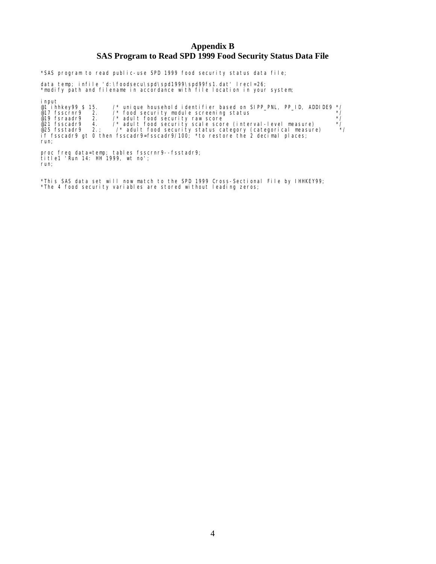# **Appendix B SAS Program to Read SPD 1999 Food Security Status Data File**

\*SAS program to read public-use SPD 1999 food security status data file;

data temp; infile 'd:\foodsecu\spd\spd1999\spd99fs1.dat' lrecl=26; \*modify path and filename in accordance with file location in your system;

input @1 ihhkey99 \$ 15. /\* unique household identifier based on SIPP\_PNL, PP\_ID, ADDIDE9 \*/ @17 fsscrnr9 2. /\* food security module screening status \*/ @19 fsraadr9 2. /\* adult food security raw score<br>@21 fsscadr9 4. /\* adult food security scale score (interval-level measure) \*/<br>@25 fsstadr9 2.; /\* adult food security status category (categorical mea if fsscadr9 gt 0 then fsscadr9=fsscadr9/100; \*to restore the 2 decimal places; run;

proc freq data=temp; tables fsscrnr9--fsstadr9; title1 'Run 14: HH 1999, wt no'; run;

\*This SAS data set will now match to the SPD 1999 Cross-Sectional File by IHHKEY99; \*The 4 food security variables are stored without leading zeros;